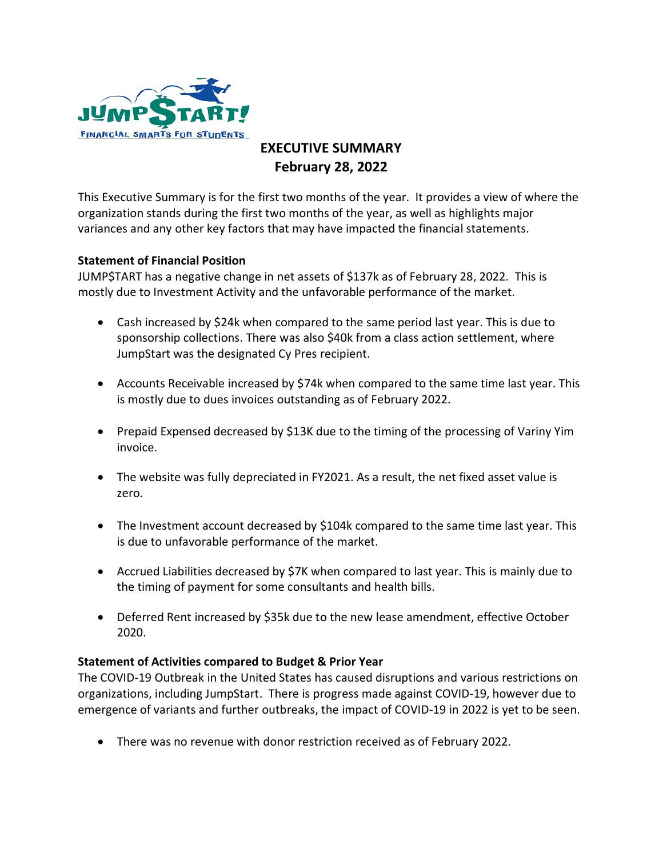

## **EXECUTIVE SUMMARY February 28, 2022**

This Executive Summary is for the first two months of the year. It provides a view of where the organization stands during the first two months of the year, as well as highlights major variances and any other key factors that may have impacted the financial statements.

## **Statement of Financial Position**

JUMP\$TART has a negative change in net assets of \$137k as of February 28, 2022. This is mostly due to Investment Activity and the unfavorable performance of the market.

- Cash increased by \$24k when compared to the same period last year. This is due to sponsorship collections. There was also \$40k from a class action settlement, where JumpStart was the designated Cy Pres recipient.
- Accounts Receivable increased by \$74k when compared to the same time last year. This is mostly due to dues invoices outstanding as of February 2022.
- Prepaid Expensed decreased by \$13K due to the timing of the processing of Variny Yim invoice.
- The website was fully depreciated in FY2021. As a result, the net fixed asset value is zero.
- The Investment account decreased by \$104k compared to the same time last year. This is due to unfavorable performance of the market.
- Accrued Liabilities decreased by \$7K when compared to last year. This is mainly due to the timing of payment for some consultants and health bills.
- Deferred Rent increased by \$35k due to the new lease amendment, effective October 2020.

## **Statement of Activities compared to Budget & Prior Year**

The COVID-19 Outbreak in the United States has caused disruptions and various restrictions on organizations, including JumpStart. There is progress made against COVID-19, however due to emergence of variants and further outbreaks, the impact of COVID-19 in 2022 is yet to be seen.

There was no revenue with donor restriction received as of February 2022.